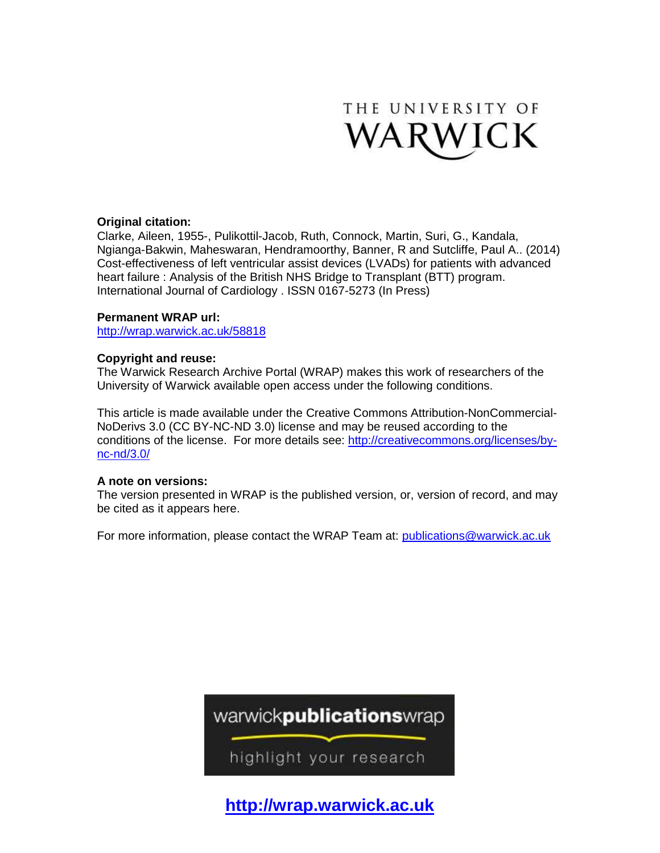

# **Original citation:**

Clarke, Aileen, 1955-, Pulikottil-Jacob, Ruth, Connock, Martin, Suri, G., Kandala, Ngianga-Bakwin, Maheswaran, Hendramoorthy, Banner, R and Sutcliffe, Paul A.. (2014) Cost-effectiveness of left ventricular assist devices (LVADs) for patients with advanced heart failure : Analysis of the British NHS Bridge to Transplant (BTT) program. International Journal of Cardiology . ISSN 0167-5273 (In Press)

# **Permanent WRAP url:**

<http://wrap.warwick.ac.uk/58818>

# **Copyright and reuse:**

The Warwick Research Archive Portal (WRAP) makes this work of researchers of the University of Warwick available open access under the following conditions.

This article is made available under the Creative Commons Attribution-NonCommercial-NoDerivs 3.0 (CC BY-NC-ND 3.0) license and may be reused according to the conditions of the license. For more details see: [http://creativecommons.org/licenses/by](http://creativecommons.org/licenses/by-nc-nd/3.0/)[nc-nd/3.0/](http://creativecommons.org/licenses/by-nc-nd/3.0/) 

# **A note on versions:**

The version presented in WRAP is the published version, or, version of record, and may be cited as it appears here.

For more information, please contact the WRAP Team at: [publications@warwick.ac.uk](mailto:publications@warwick.ac.uk)



highlight your research

**[http://wrap.warwick.ac.uk](http://wrap.warwick.ac.uk/)**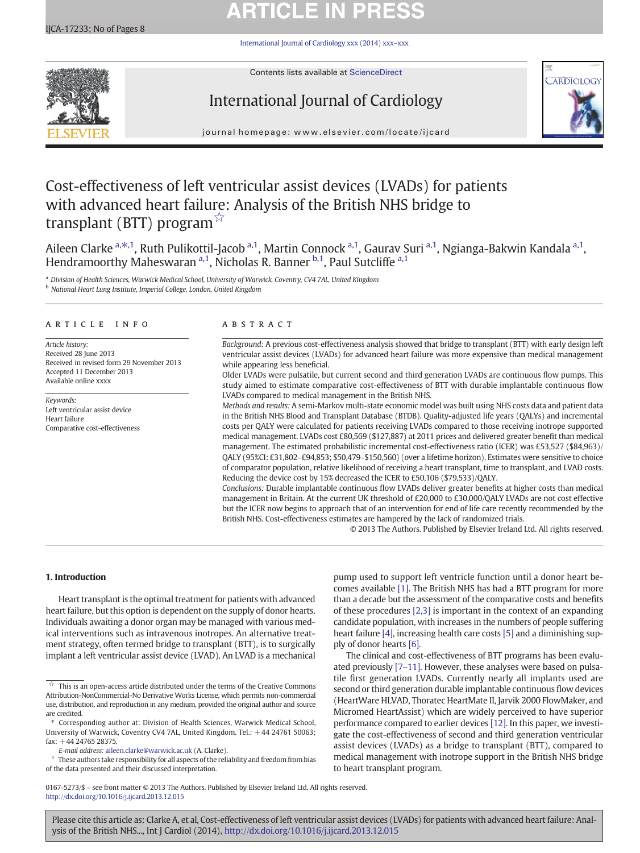# **ARTICLE IN PRESS**

[International Journal of Cardiology xxx \(2014\) xxx](http://dx.doi.org/10.1016/j.ijcard.2013.12.015)–xxx



Contents lists available at [ScienceDirect](http://www.sciencedirect.com/science/journal/01675273)

# International Journal of Cardiology



journal homepage: www.elsevier.com/locate/ijcard

# Cost-effectiveness of left ventricular assist devices (LVADs) for patients with advanced heart failure: Analysis of the British NHS bridge to transplant (BTT) program $\vec{X}$

Aileen Clarke <sup>a, $\ast$ ,1, Ruth Pulikottil-Jacob <sup>a,1</sup>, Martin Connock <sup>a,1</sup>, Gaurav Suri <sup>a,1</sup>, Ngianga-Bakwin Kandala <sup>a,1</sup>,</sup> Hendramoorthy Maheswaran <sup>a, 1</sup>, Nicholas R. Banner <sup>b, 1</sup>, Paul Sutcliffe <sup>a, 1</sup>

a Division of Health Sciences, Warwick Medical School, University of Warwick, Coventry, CV4 7AL, United Kingdom

<sup>b</sup> National Heart Lung Institute, Imperial College, London, United Kingdom

# article info abstract

Article history: Received 28 June 2013 Received in revised form 29 November 2013 Accepted 11 December 2013 Available online xxxx

Keywords: Left ventricular assist device Heart failure Comparative cost-effectiveness

Background: A previous cost-effectiveness analysis showed that bridge to transplant (BTT) with early design left ventricular assist devices (LVADs) for advanced heart failure was more expensive than medical management while appearing less beneficial.

Older LVADs were pulsatile, but current second and third generation LVADs are continuous flow pumps. This study aimed to estimate comparative cost-effectiveness of BTT with durable implantable continuous flow LVADs compared to medical management in the British NHS.

Methods and results: A semi-Markov multi-state economic model was built using NHS costs data and patient data in the British NHS Blood and Transplant Database (BTDB). Quality-adjusted life years (QALYs) and incremental costs per QALY were calculated for patients receiving LVADs compared to those receiving inotrope supported medical management. LVADs cost £80,569 (\$127,887) at 2011 prices and delivered greater benefit than medical management. The estimated probabilistic incremental cost-effectiveness ratio (ICER) was £53,527 (\$84,963)/ QALY (95%CI: £31,802–£94,853; \$50,479–\$150,560) (over a lifetime horizon). Estimates were sensitive to choice of comparator population, relative likelihood of receiving a heart transplant, time to transplant, and LVAD costs. Reducing the device cost by 15% decreased the ICER to £50,106 (\$79,533)/QALY.

Conclusions: Durable implantable continuous flow LVADs deliver greater benefits at higher costs than medical management in Britain. At the current UK threshold of £20,000 to £30,000/QALY LVADs are not cost effective but the ICER now begins to approach that of an intervention for end of life care recently recommended by the British NHS. Cost-effectiveness estimates are hampered by the lack of randomized trials.

© 2013 The Authors. Published by Elsevier Ireland Ltd. All rights reserved.

# 1. Introduction

Heart transplant is the optimal treatment for patients with advanced heart failure, but this option is dependent on the supply of donor hearts. Individuals awaiting a donor organ may be managed with various medical interventions such as intravenous inotropes. An alternative treatment strategy, often termed bridge to transplant (BTT), is to surgically implant a left ventricular assist device (LVAD). An LVAD is a mechanical

E-mail address: [aileen.clarke@warwick.ac.uk](mailto:aileen.clarke@warwick.ac.uk) (A. Clarke).

 $^{\rm 1}~$  These authors take responsibility for all aspects of the reliability and freedom from bias of the data presented and their discussed interpretation.

pump used to support left ventricle function until a donor heart becomes available [1]. The British NHS has had a BTT program for more than a decade but the assessment of the comparative costs and benefits of these procedures [\[2,3\]](#page-8-0) is important in the context of an expanding candidate population, with increases in the numbers of people suffering heart failure [4], increasing health care costs [5] and a diminishing supply of donor hearts [6].

The clinical and cost-effectiveness of BTT programs has been evaluated previously [7–[11\]](#page-8-0). However, these analyses were based on pulsatile first generation LVADs. Currently nearly all implants used are second or third generation durable implantable continuous flow devices (HeartWare HLVAD, Thoratec HeartMate II, Jarvik 2000 FlowMaker, and Micromed HeartAssist) which are widely perceived to have superior performance compared to earlier devices [12]. In this paper, we investigate the cost-effectiveness of second and third generation ventricular assist devices (LVADs) as a bridge to transplant (BTT), compared to medical management with inotrope support in the British NHS bridge to heart transplant program.

0167-5273/\$ – see front matter © 2013 The Authors. Published by Elsevier Ireland Ltd. All rights reserved. <http://dx.doi.org/10.1016/j.ijcard.2013.12.015>

 $\overrightarrow{a}$  This is an open-access article distributed under the terms of the Creative Commons Attribution-NonCommercial-No Derivative Works License, which permits non-commercial use, distribution, and reproduction in any medium, provided the original author and source are credited.

<sup>⁎</sup> Corresponding author at: Division of Health Sciences, Warwick Medical School, University of Warwick, Coventry CV4 7AL, United Kingdom. Tel.:  $+44$  24761 50063; fax: +44 24765 28375.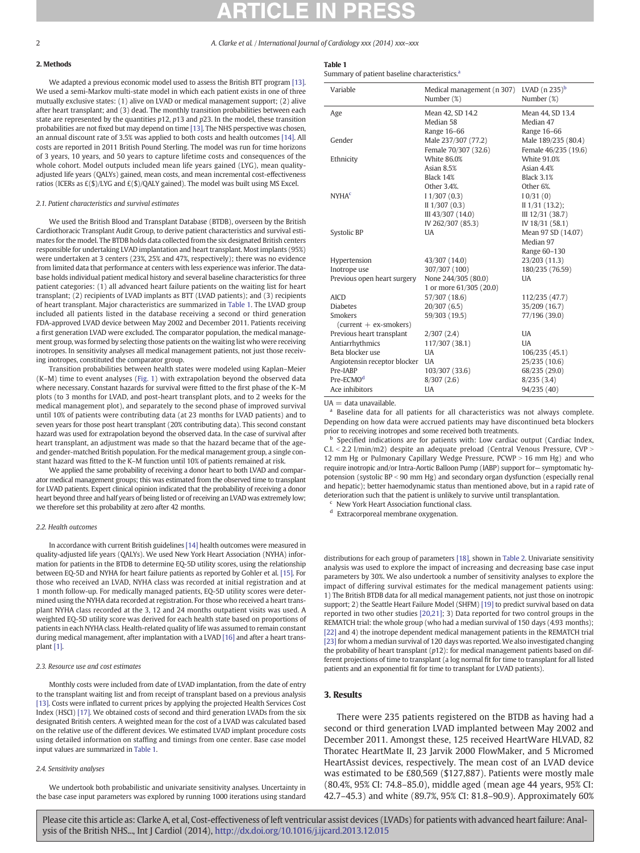# 2. Methods

We adapted a previous economic model used to assess the British BTT program [13]. We used a semi-Markov multi-state model in which each patient exists in one of three mutually exclusive states: (1) alive on LVAD or medical management support; (2) alive after heart transplant; and (3) dead. The monthly transition probabilities between each state are represented by the quantities  $p12$ ,  $p13$  and  $p23$ . In the model, these transition probabilities are not fixed but may depend on time [13]. The NHS perspective was chosen, an annual discount rate of 3.5% was applied to both costs and health outcomes [14]. All costs are reported in 2011 British Pound Sterling. The model was run for time horizons of 3 years, 10 years, and 50 years to capture lifetime costs and consequences of the whole cohort. Model outputs included mean life years gained (LYG), mean qualityadjusted life years (QALYs) gained, mean costs, and mean incremental cost-effectiveness ratios (ICERs as  $E(\text{$\mathcal{S}$})/LYG$  and  $E(\text{$\mathcal{S}$})/QALY$  gained). The model was built using MS Excel.

### 2.1. Patient characteristics and survival estimates

We used the British Blood and Transplant Database (BTDB), overseen by the British Cardiothoracic Transplant Audit Group, to derive patient characteristics and survival estimates for the model. The BTDB holds data collected from the six designated British centers responsible for undertaking LVAD implantation and heart transplant. Most implants (95%) were undertaken at 3 centers (23%, 25% and 47%, respectively); there was no evidence from limited data that performance at centers with less experience was inferior. The database holds individual patient medical history and several baseline characteristics for three patient categories: (1) all advanced heart failure patients on the waiting list for heart transplant; (2) recipients of LVAD implants as BTT (LVAD patients); and (3) recipients of heart transplant. Major characteristics are summarized in Table 1. The LVAD group included all patients listed in the database receiving a second or third generation FDA-approved LVAD device between May 2002 and December 2011. Patients receiving a first generation LVAD were excluded. The comparator population, the medical management group, was formed by selecting those patients on the waiting list who were receiving inotropes. In sensitivity analyses all medical management patients, not just those receiving inotropes, constituted the comparator group.

Transition probabilities between health states were modeled using Kaplan–Meier (K–M) time to event analyses (Fig. 1) with extrapolation beyond the observed data where necessary. Constant hazards for survival were fitted to the first phase of the K–M plots (to 3 months for LVAD, and post-heart transplant plots, and to 2 weeks for the medical management plot), and separately to the second phase of improved survival until 10% of patients were contributing data (at 23 months for LVAD patients) and to seven years for those post heart transplant (20% contributing data). This second constant hazard was used for extrapolation beyond the observed data. In the case of survival after heart transplant, an adjustment was made so that the hazard became that of the ageand gender-matched British population. For the medical management group, a single constant hazard was fitted to the K–M function until 10% of patients remained at risk.

We applied the same probability of receiving a donor heart to both LVAD and comparator medical management groups; this was estimated from the observed time to transplant for LVAD patients. Expert clinical opinion indicated that the probability of receiving a donor heart beyond three and half years of being listed or of receiving an LVAD was extremely low; we therefore set this probability at zero after 42 months.

### 2.2. Health outcomes

In accordance with current British guidelines [14] health outcomes were measured in quality-adjusted life years (QALYs). We used New York Heart Association (NYHA) information for patients in the BTDB to determine EQ-5D utility scores, using the relationship between EQ-5D and NYHA for heart failure patients as reported by Gohler et al. [15]. For those who received an LVAD, NYHA class was recorded at initial registration and at 1 month follow-up. For medically managed patients, EQ-5D utility scores were determined using the NYHA data recorded at registration. For those who received a heart transplant NYHA class recorded at the 3, 12 and 24 months outpatient visits was used. A weighted EQ-5D utility score was derived for each health state based on proportions of patients in each NYHA class. Health-related quality of life was assumed to remain constant during medical management, after implantation with a LVAD [16] and after a heart transplant [1].

### 2.3. Resource use and cost estimates

Monthly costs were included from date of LVAD implantation, from the date of entry to the transplant waiting list and from receipt of transplant based on a previous analysis [13]. Costs were inflated to current prices by applying the projected Health Services Cost Index (HSCI) [17]. We obtained costs of second and third generation LVADs from the six designated British centers. A weighted mean for the cost of a LVAD was calculated based on the relative use of the different devices. We estimated LVAD implant procedure costs using detailed information on staffing and timings from one center. Base case model input values are summarized in Table 1.

### 2.4. Sensitivity analyses

We undertook both probabilistic and univariate sensitivity analyses. Uncertainty in the base case input parameters was explored by running 1000 iterations using standard

|--|--|

Summary of patient baseline characteristics.<sup>a</sup>

| Variable                     | Medical management (n 307) | LVAD $(n 235)^b$     |
|------------------------------|----------------------------|----------------------|
|                              | Number (%)                 | Number (%)           |
| Age                          | Mean 42, SD 14.2           | Mean 44, SD 13.4     |
|                              | Median 58                  | Median 47            |
|                              | Range 16-66                | Range 16-66          |
| Gender                       | Male 237/307 (77.2)        | Male 189/235 (80.4)  |
|                              | Female 70/307 (32.6)       | Female 46/235 (19.6) |
| Ethnicity                    | <b>White 86.0%</b>         | <b>White 91.0%</b>   |
|                              | Asian 8.5%                 | Asian 4.4%           |
|                              | Black 14%                  | <b>Black 3.1%</b>    |
|                              | Other 3.4%.                | Other 6%.            |
| <b>NYHA<sup>c</sup></b>      | 11/307(0.3)                | 10/31(0)             |
|                              | II $1/307(0.3)$            | $II$ 1/31 (13.2);    |
|                              | III 43/307 (14.0)          | III 12/31 (38.7)     |
|                              | IV 262/307 (85.3)          | IV 18/31 (58.1)      |
| Systolic BP                  | <b>UA</b>                  | Mean 97 SD (14.07)   |
|                              |                            | Median 97            |
|                              |                            | Range 60-130         |
| Hypertension                 | 43/307 (14.0)              | 23/203 (11.3)        |
| Inotrope use                 | 307/307 (100)              | 180/235 (76.59)      |
| Previous open heart surgery  | None 244/305 (80.0)        | UA                   |
|                              | 1 or more 61/305 (20.0)    |                      |
| <b>AICD</b>                  | 57/307 (18.6)              | 112/235 (47.7)       |
| <b>Diabetes</b>              | 20/307(6.5)                | 35/209 (16.7)        |
| <b>Smokers</b>               | 59/303 (19.5)              | 77/196 (39.0)        |
| $(current + ex-smoker)$      |                            |                      |
| Previous heart transplant    | 2/307(2.4)                 | <b>UA</b>            |
| Antiarrhythmics              | 117/307 (38.1)             | <b>UA</b>            |
| Beta blocker use             | <b>UA</b>                  | 106/235 (45.1)       |
| Angiotensin receptor blocker | <b>UA</b>                  | 25/235 (10.6)        |
| Pre-IABP                     | 103/307 (33.6)             | 68/235 (29.0)        |
| Pre-ECMO <sup>d</sup>        | 8/307(2.6)                 | 8/235(3.4)           |
| Ace inhibitors               | <b>UA</b>                  | 94/235 (40)          |

 $UA = data$  unavailable.

<sup>a</sup> Baseline data for all patients for all characteristics was not always complete. Depending on how data were accrued patients may have discontinued beta blockers prior to receiving inotropes and some received both treatments.

**b** Specified indications are for patients with: Low cardiac output (Cardiac Index,  $C.I. < 2.2$  l/min/m2) despite an adequate preload (Central Venous Pressure, CVP > 12 mm Hg or Pulmonary Capillary Wedge Pressure,  $PCWP > 16$  mm Hg) and who require inotropic and/or Intra-Aortic Balloon Pump (IABP) support for— symptomatic hypotension (systolic  $BP < 90$  mm Hg) and secondary organ dysfunction (especially renal and hepatic); better haemodynamic status than mentioned above, but in a rapid rate of deterioration such that the patient is unlikely to survive until transplantation.

New York Heart Association functional class.

<sup>d</sup> Extracorporeal membrane oxygenation.

distributions for each group of parameters [18], shown in Table 2. Univariate sensitivity analysis was used to explore the impact of increasing and decreasing base case input parameters by 30%. We also undertook a number of sensitivity analyses to explore the impact of differing survival estimates for the medical management patients using: 1) The British BTDB data for all medical management patients, not just those on inotropic support; 2) the Seattle Heart Failure Model (SHFM) [19] to predict survival based on data reported in two other studies [\[20,21\];](#page-8-0) 3) Data reported for two control groups in the REMATCH trial: the whole group (who had a median survival of 150 days (4.93 months); [22] and 4) the inotrope dependent medical management patients in the REMATCH trial [23] for whom a median survival of 120 days was reported. We also investigated changing the probability of heart transplant  $(p12)$ : for medical management patients based on different projections of time to transplant (a log normal fit for time to transplant for all listed patients and an exponential fit for time to transplant for LVAD patients).

# 3. Results

There were 235 patients registered on the BTDB as having had a second or third generation LVAD implanted between May 2002 and December 2011. Amongst these, 125 received HeartWare HLVAD, 82 Thoratec HeartMate II, 23 Jarvik 2000 FlowMaker, and 5 Micromed HeartAssist devices, respectively. The mean cost of an LVAD device was estimated to be £80,569 (\$127,887). Patients were mostly male (80.4%, 95% CI: 74.8–85.0), middle aged (mean age 44 years, 95% CI: 42.7–45.3) and white (89.7%, 95% CI: 81.8–90.9). Approximately 60%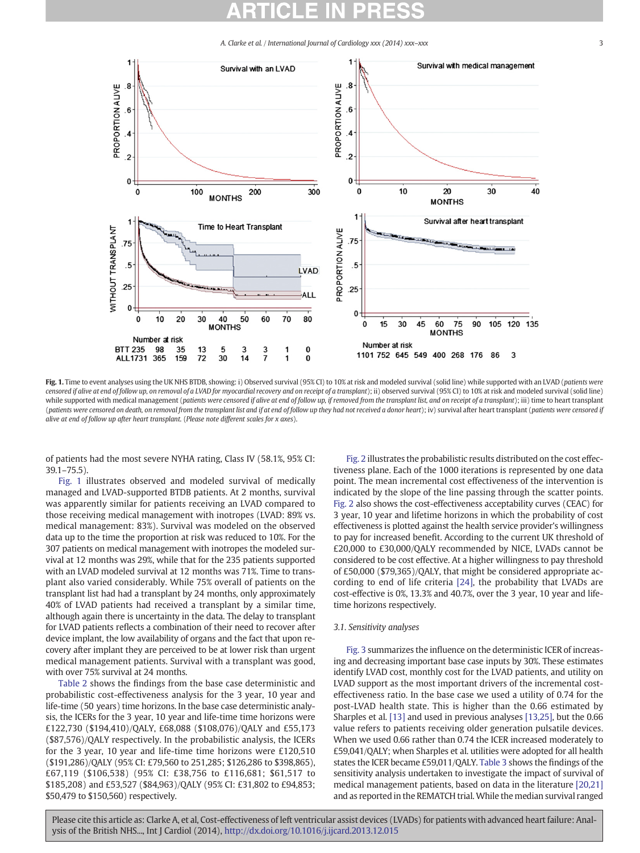

Fig. 1. Time to event analyses using the UK NHS BTDB, showing: i) Observed survival (95% CI) to 10% at risk and modeled survival (solid line) while supported with an LVAD (patients were censored if alive at end of follow up, on removal of a LVAD for myocardial recovery and on receipt of a transplant); ii) observed survival (95% CI) to 10% at risk and modeled survival (solid line) while supported with medical management (patients were censored if alive at end of follow up, if removed from the transplant list, and on receipt of a transplant); iii) time to heart transplant (patients were censored on death, on removal from the transplant list and if at end of follow up they had not received a donor heart); iv) survival after heart transplant (patients were censored if alive at end of follow up after heart transplant. (Please note different scales for x axes).

of patients had the most severe NYHA rating, Class IV (58.1%, 95% CI:  $391 - 755$ 

Fig. 1 illustrates observed and modeled survival of medically managed and LVAD-supported BTDB patients. At 2 months, survival was apparently similar for patients receiving an LVAD compared to those receiving medical management with inotropes (LVAD: 89% vs. medical management: 83%). Survival was modeled on the observed data up to the time the proportion at risk was reduced to 10%. For the 307 patients on medical management with inotropes the modeled survival at 12 months was 29%, while that for the 235 patients supported with an LVAD modeled survival at 12 months was 71%. Time to transplant also varied considerably. While 75% overall of patients on the transplant list had had a transplant by 24 months, only approximately 40% of LVAD patients had received a transplant by a similar time, although again there is uncertainty in the data. The delay to transplant for LVAD patients reflects a combination of their need to recover after device implant, the low availability of organs and the fact that upon recovery after implant they are perceived to be at lower risk than urgent medical management patients. Survival with a transplant was good, with over 75% survival at 24 months.

Table 2 shows the findings from the base case deterministic and probabilistic cost-effectiveness analysis for the 3 year, 10 year and life-time (50 years) time horizons. In the base case deterministic analysis, the ICERs for the 3 year, 10 year and life-time time horizons were £122,730 (\$194,410)/QALY, £68,088 (\$108,076)/QALY and £55,173 (\$87,576)/QALY respectively. In the probabilistic analysis, the ICERs for the 3 year, 10 year and life-time time horizons were £120,510 (\$191,286)/QALY (95% CI: £79,560 to 251,285; \$126,286 to \$398,865), £67,119 (\$106,538) (95% CI: £38,756 to £116,681; \$61,517 to \$185,208) and £53,527 (\$84,963)/QALY (95% CI: £31,802 to £94,853; \$50,479 to \$150,560) respectively.

Fig. 2 illustrates the probabilistic results distributed on the cost effectiveness plane. Each of the 1000 iterations is represented by one data point. The mean incremental cost effectiveness of the intervention is indicated by the slope of the line passing through the scatter points. Fig. 2 also shows the cost-effectiveness acceptability curves (CEAC) for 3 year, 10 year and lifetime horizons in which the probability of cost effectiveness is plotted against the health service provider's willingness to pay for increased benefit. According to the current UK threshold of £20,000 to £30,000/QALY recommended by NICE, LVADs cannot be considered to be cost effective. At a higher willingness to pay threshold of £50,000 (\$79,365)/QALY, that might be considered appropriate according to end of life criteria [24], the probability that LVADs are cost-effective is 0%, 13.3% and 40.7%, over the 3 year, 10 year and lifetime horizons respectively.

# 3.1. Sensitivity analyses

Fig. 3 summarizes the influence on the deterministic ICER of increasing and decreasing important base case inputs by 30%. These estimates identify LVAD cost, monthly cost for the LVAD patients, and utility on LVAD support as the most important drivers of the incremental costeffectiveness ratio. In the base case we used a utility of 0.74 for the post-LVAD health state. This is higher than the 0.66 estimated by Sharples et al. [13] and used in previous analyses [\[13,25\]](#page-8-0), but the 0.66 value refers to patients receiving older generation pulsatile devices. When we used 0.66 rather than 0.74 the ICER increased moderately to £59,041/QALY; when Sharples et al. utilities were adopted for all health states the ICER became £59,011/QALY. Table 3 shows the findings of the sensitivity analysis undertaken to investigate the impact of survival of medical management patients, based on data in the literature [\[20,21\]](#page-8-0) and as reported in the REMATCH trial. While the median survival ranged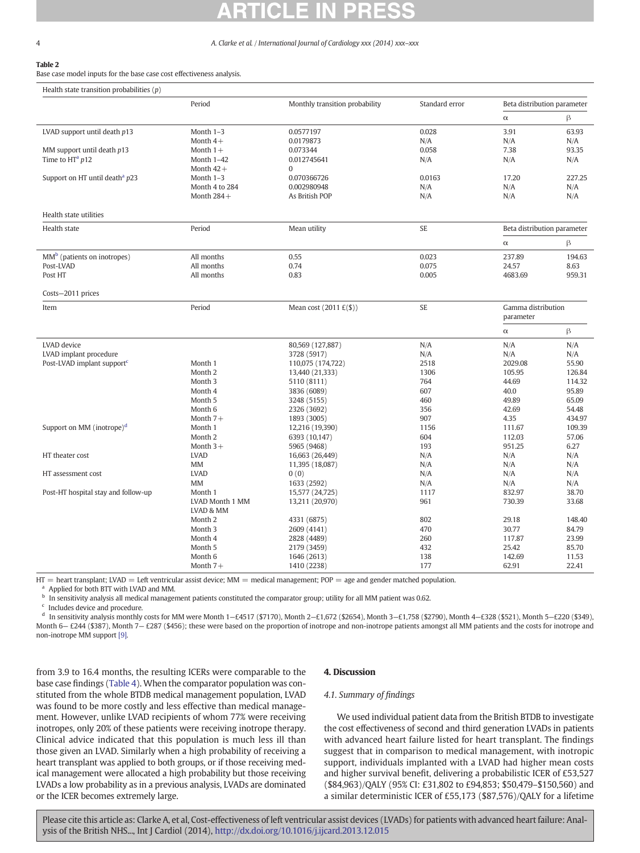# Table 2

Base case model inputs for the base case cost effectiveness analysis.

| Health state transition probabilities $(p)$  |                               |                                |                |                             |                |
|----------------------------------------------|-------------------------------|--------------------------------|----------------|-----------------------------|----------------|
|                                              | Period                        | Monthly transition probability | Standard error | Beta distribution parameter |                |
|                                              |                               |                                |                | $\alpha$                    | β              |
| LVAD support until death $p13$               | Month 1-3                     | 0.0577197                      | 0.028          | 3.91                        | 63.93          |
|                                              | Month $4+$                    | 0.0179873                      | N/A            | N/A                         | N/A            |
| MM support until death $p13$                 | Month $1+$                    | 0.073344                       | 0.058          | 7.38                        | 93.35          |
| Time to HTa p12                              | Month 1-42                    | 0.012745641                    | N/A            | N/A                         | N/A            |
|                                              | Month $42+$                   | $\Omega$                       |                |                             |                |
| Support on HT until death <sup>a</sup> $p23$ | Month 1-3                     | 0.070366726                    | 0.0163         | 17.20                       | 227.25         |
|                                              | Month 4 to 284                | 0.002980948                    | N/A            | N/A                         | N/A            |
|                                              | Month $284+$                  | As British POP                 | N/A            | N/A                         | N/A            |
| Health state utilities                       |                               |                                |                |                             |                |
| Health state                                 | Period                        | Mean utility                   | SE             | Beta distribution parameter |                |
|                                              |                               |                                |                | $\alpha$                    | β              |
| $MMb$ (patients on inotropes)                | All months                    | 0.55                           | 0.023          | 237.89                      | 194.63         |
| Post-LVAD                                    | All months                    | 0.74                           | 0.075          | 24.57                       | 8.63           |
| Post HT                                      | All months                    | 0.83                           | 0.005          | 4683.69                     | 959.31         |
| Costs-2011 prices                            |                               |                                |                |                             |                |
| Item                                         | Period                        |                                | <b>SE</b>      | Gamma distribution          |                |
|                                              |                               |                                |                | parameter                   |                |
|                                              |                               |                                |                | $\alpha$                    | β              |
| LVAD device                                  |                               | 80,569 (127,887)               | N/A            | N/A                         | N/A            |
| LVAD implant procedure                       |                               | 3728 (5917)                    | N/A            | N/A                         | N/A            |
| Post-LVAD implant support <sup>c</sup>       | Month 1                       | 110,075 (174,722)              | 2518           | 2029.08                     | 55.90          |
|                                              | Month <sub>2</sub>            | 13,440 (21,333)                | 1306           | 105.95                      | 126.84         |
|                                              | Month <sub>3</sub>            | 5110 (8111)                    | 764            | 44.69                       | 114.32         |
|                                              | Month 4<br>Month 5            | 3836 (6089)                    | 607<br>460     | 40.0<br>49.89               | 95.89<br>65.09 |
|                                              | Month 6                       | 3248 (5155)<br>2326 (3692)     | 356            | 42.69                       | 54.48          |
|                                              | Month $7+$                    | 1893 (3005)                    | 907            | 4.35                        | 434.97         |
| Support on MM (inotrope) $d$                 | Month 1                       | 12,216 (19,390)                | 1156           | 111.67                      | 109.39         |
|                                              | Month <sub>2</sub>            | 6393 (10,147)                  | 604            | 112.03                      | 57.06          |
|                                              | Month $3+$                    | 5965 (9468)                    | 193            | 951.25                      | 6.27           |
| HT theater cost                              | <b>LVAD</b>                   | 16,663 (26,449)                | N/A            | N/A                         | N/A            |
|                                              | MM                            | 11,395 (18,087)                | N/A            | N/A                         | N/A            |
| HT assessment cost                           | <b>LVAD</b>                   | 0(0)                           | N/A            | N/A                         | N/A            |
|                                              | <b>MM</b>                     | 1633 (2592)                    | N/A            | N/A                         | N/A            |
| Post-HT hospital stay and follow-up          | Month 1                       | 15,577 (24,725)                | 1117           | 832.97                      | 38.70          |
|                                              | LVAD Month 1 MM               | 13,211 (20,970)                | 961            | 730.39                      | 33.68          |
|                                              | <b>LVAD &amp; MM</b>          |                                |                |                             |                |
|                                              | Month 2                       | 4331 (6875)                    | 802            | 29.18                       | 148.40         |
|                                              | Month <sub>3</sub><br>Month 4 | 2609 (4141)                    | 470<br>260     | 30.77<br>117.87             | 84.79<br>23.99 |
|                                              | Month 5                       | 2828 (4489)<br>2179 (3459)     | 432            | 25.42                       | 85.70          |
|                                              | Month <sub>6</sub>            | 1646 (2613)                    | 138            | 142.69                      | 11.53          |
|                                              | Month $7+$                    | 1410 (2238)                    | 177            | 62.91                       | 22.41          |
|                                              |                               |                                |                |                             |                |

 $HT =$  heart transplant; LVAD = Left ventricular assist device; MM = medical management; POP = age and gender matched population.

<sup>a</sup> Applied for both BTT with LVAD and MM.

<sup>b</sup> In sensitivity analysis all medical management patients constituted the comparator group; utility for all MM patient was 0.62.

<sup>c</sup> Includes device and procedure.

d In sensitivity analysis monthly costs for MM were Month 1–£4517 (\$7170), Month 2–£1,672 (\$2654), Month 3–£1,758 (\$2790), Month 4–£328 (\$521), Month 5–£220 (\$349), Month 6- £244 (\$387), Month 7- £287 (\$456); these were based on the proportion of inotrope and non-inotrope patients amongst all MM patients and the costs for inotrope and non-inotrope MM support [\[9\].](#page-8-0)

from 3.9 to 16.4 months, the resulting ICERs were comparable to the base case findings (Table 4). When the comparator population was constituted from the whole BTDB medical management population, LVAD was found to be more costly and less effective than medical management. However, unlike LVAD recipients of whom 77% were receiving inotropes, only 20% of these patients were receiving inotrope therapy. Clinical advice indicated that this population is much less ill than those given an LVAD. Similarly when a high probability of receiving a heart transplant was applied to both groups, or if those receiving medical management were allocated a high probability but those receiving LVADs a low probability as in a previous analysis, LVADs are dominated or the ICER becomes extremely large.

# 4. Discussion

# 4.1. Summary of findings

We used individual patient data from the British BTDB to investigate the cost effectiveness of second and third generation LVADs in patients with advanced heart failure listed for heart transplant. The findings suggest that in comparison to medical management, with inotropic support, individuals implanted with a LVAD had higher mean costs and higher survival benefit, delivering a probabilistic ICER of £53,527 (\$84,963)/QALY (95% CI: £31,802 to £94,853; \$50,479–\$150,560) and a similar deterministic ICER of £55,173 (\$87,576)/QALY for a lifetime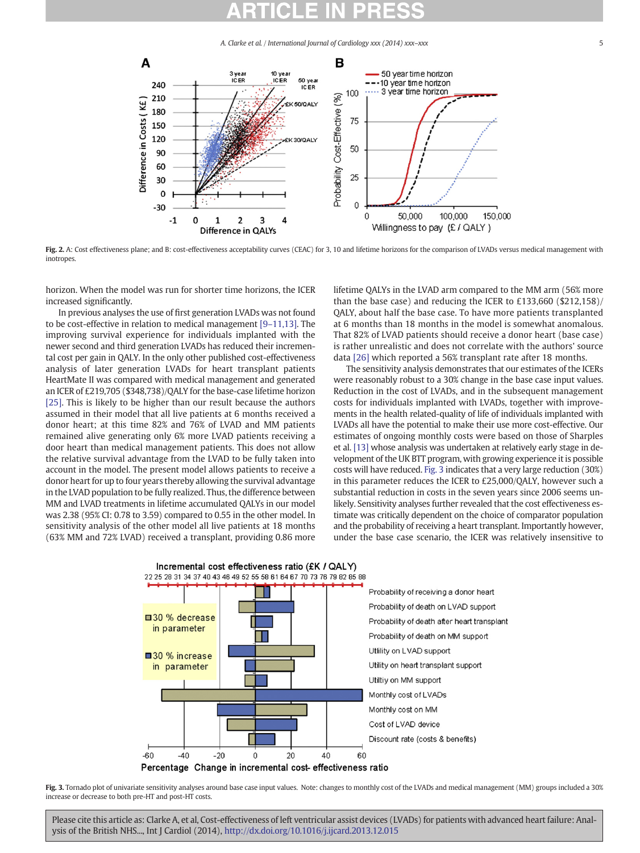

Fig. 2. A: Cost effectiveness plane; and B: cost-effectiveness acceptability curves (CEAC) for 3, 10 and lifetime horizons for the comparison of LVADs versus medical management with inotropes.

horizon. When the model was run for shorter time horizons, the ICER increased significantly.

In previous analyses the use of first generation LVADs was not found to be cost-effective in relation to medical management [9–[11,13\]](#page-8-0). The improving survival experience for individuals implanted with the newer second and third generation LVADs has reduced their incremental cost per gain in QALY. In the only other published cost-effectiveness analysis of later generation LVADs for heart transplant patients HeartMate II was compared with medical management and generated an ICER of £219,705 (\$348,738)/QALY for the base-case lifetime horizon [25]. This is likely to be higher than our result because the authors assumed in their model that all live patients at 6 months received a donor heart; at this time 82% and 76% of LVAD and MM patients remained alive generating only 6% more LVAD patients receiving a door heart than medical management patients. This does not allow the relative survival advantage from the LVAD to be fully taken into account in the model. The present model allows patients to receive a donor heart for up to four years thereby allowing the survival advantage in the LVAD population to be fully realized. Thus, the difference between MM and LVAD treatments in lifetime accumulated QALYs in our model was 2.38 (95% CI: 0.78 to 3.59) compared to 0.55 in the other model. In sensitivity analysis of the other model all live patients at 18 months (63% MM and 72% LVAD) received a transplant, providing 0.86 more

lifetime QALYs in the LVAD arm compared to the MM arm (56% more than the base case) and reducing the ICER to £133,660 (\$212,158)/ QALY, about half the base case. To have more patients transplanted at 6 months than 18 months in the model is somewhat anomalous. That 82% of LVAD patients should receive a donor heart (base case) is rather unrealistic and does not correlate with the authors' source data [26] which reported a 56% transplant rate after 18 months.

The sensitivity analysis demonstrates that our estimates of the ICERs were reasonably robust to a 30% change in the base case input values. Reduction in the cost of LVADs, and in the subsequent management costs for individuals implanted with LVADs, together with improvements in the health related-quality of life of individuals implanted with LVADs all have the potential to make their use more cost-effective. Our estimates of ongoing monthly costs were based on those of Sharples et al. [13] whose analysis was undertaken at relatively early stage in development of the UK BTT program, with growing experience it is possible costs will have reduced. Fig. 3 indicates that a very large reduction (30%) in this parameter reduces the ICER to £25,000/QALY, however such a substantial reduction in costs in the seven years since 2006 seems unlikely. Sensitivity analyses further revealed that the cost effectiveness estimate was critically dependent on the choice of comparator population and the probability of receiving a heart transplant. Importantly however, under the base case scenario, the ICER was relatively insensitive to



Fig. 3. Tornado plot of univariate sensitivity analyses around base case input values. Note: changes to monthly cost of the LVADs and medical management (MM) groups included a 30% increase or decrease to both pre-HT and post-HT costs.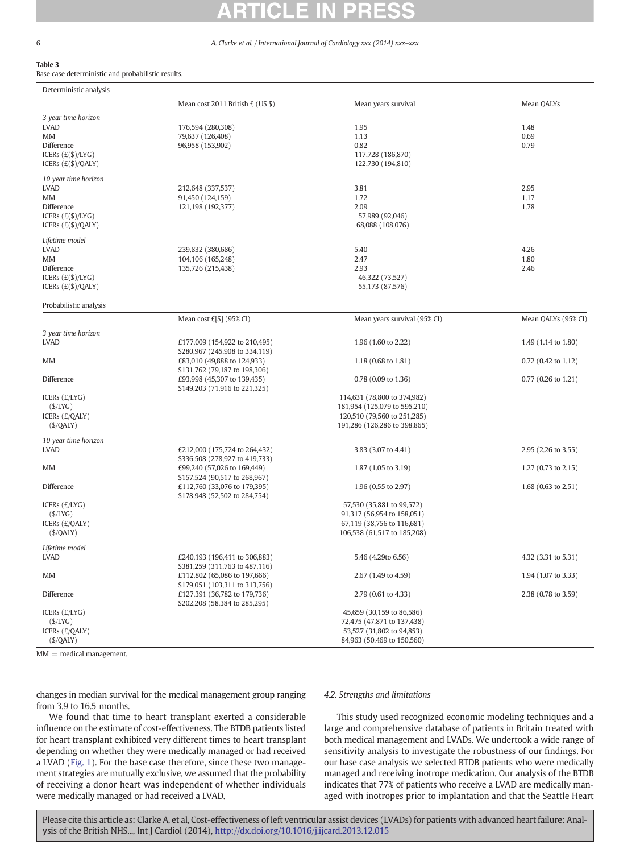# Table 3

Base case deterministic and probabilistic results.

| Deterministic analysis              |                                                              |                                                         |                                |
|-------------------------------------|--------------------------------------------------------------|---------------------------------------------------------|--------------------------------|
|                                     | Mean cost 2011 British £ (US \$)                             | Mean years survival                                     | Mean QALYs                     |
| 3 year time horizon                 |                                                              |                                                         |                                |
| <b>LVAD</b>                         | 176,594 (280,308)                                            | 1.95                                                    | 1.48                           |
| MM                                  | 79,637 (126,408)                                             | 1.13                                                    | 0.69                           |
| Difference                          | 96,958 (153,902)                                             | 0.82                                                    | 0.79                           |
| ICERs $(E(S)/LYG)$                  |                                                              | 117,728 (186,870)                                       |                                |
| ICERs $(E(\$)/QALY)$                |                                                              | 122,730 (194,810)                                       |                                |
| 10 year time horizon                |                                                              |                                                         |                                |
| <b>LVAD</b>                         | 212,648 (337,537)                                            | 3.81                                                    | 2.95                           |
| MM                                  | 91,450 (124,159)                                             | 1.72                                                    | 1.17                           |
| Difference                          | 121,198 (192,377)                                            | 2.09                                                    | 1.78                           |
| ICERs $(E(S)/LYG)$                  |                                                              | 57,989 (92,046)                                         |                                |
| ICERs $(E(S)/QALY)$                 |                                                              | 68,088 (108,076)                                        |                                |
| Lifetime model                      |                                                              |                                                         |                                |
| <b>LVAD</b>                         | 239,832 (380,686)                                            | 5.40                                                    | 4.26                           |
| MM                                  | 104,106 (165,248)                                            | 2.47                                                    | 1.80                           |
| Difference                          | 135,726 (215,438)                                            | 2.93                                                    | 2.46                           |
| ICERs (£(\$)/LYG)                   |                                                              | 46,322 (73,527)                                         |                                |
| ICERs $(E(S)/QALY)$                 |                                                              | 55,173 (87,576)                                         |                                |
| Probabilistic analysis              |                                                              |                                                         |                                |
|                                     | Mean cost $E[$]$ (95% CI)                                    | Mean years survival (95% CI)                            | Mean QALYs (95% CI)            |
| 3 year time horizon                 |                                                              |                                                         |                                |
| <b>LVAD</b>                         | £177,009 (154,922 to 210,495)                                | 1.96 (1.60 to 2.22)                                     | 1.49 (1.14 to 1.80)            |
|                                     | \$280,967 (245,908 to 334,119)                               |                                                         |                                |
| <b>MM</b>                           | £83,010 (49,888 to 124,933)                                  | 1.18 (0.68 to 1.81)                                     | 0.72 (0.42 to 1.12)            |
|                                     | \$131,762 (79,187 to 198,306)                                |                                                         |                                |
| Difference                          | £93,998 (45,307 to 139,435)<br>\$149,203 (71,916 to 221,325) | $0.78$ (0.09 to 1.36)                                   | 0.77 (0.26 to 1.21)            |
| ICERs $(E/LYG)$                     |                                                              | 114,631 (78,800 to 374,982)                             |                                |
| (S/LYG)                             |                                                              | 181,954 (125,079 to 595,210)                            |                                |
| ICERS (£/QALY)                      |                                                              | 120,510 (79,560 to 251,285)                             |                                |
| (S/QALY)                            |                                                              | 191,286 (126,286 to 398,865)                            |                                |
|                                     |                                                              |                                                         |                                |
| 10 year time horizon<br><b>LVAD</b> | £212,000 (175,724 to 264,432)                                | 3.83 (3.07 to 4.41)                                     | 2.95 (2.26 to 3.55)            |
|                                     | \$336,508 (278,927 to 419,733)                               |                                                         |                                |
| MM                                  | £99,240 (57,026 to 169,449)                                  | 1.87 (1.05 to 3.19)                                     | 1.27 $(0.73 \text{ to } 2.15)$ |
|                                     | \$157,524 (90,517 to 268,967)                                |                                                         |                                |
| Difference                          | £112,760 (33,076 to 179,395)                                 | 1.96 (0.55 to 2.97)                                     | 1.68 (0.63 to 2.51)            |
|                                     | \$178,948 (52,502 to 284,754)                                |                                                         |                                |
| ICERs $(E/LYG)$                     |                                                              | 57,530 (35,881 to 99,572)                               |                                |
| (S/LYG)                             |                                                              | 91,317 (56,954 to 158,051)                              |                                |
| ICERs (£/QALY)                      |                                                              | 67,119 (38,756 to 116,681)                              |                                |
| (S/QALY)                            |                                                              | 106,538 (61,517 to 185,208)                             |                                |
| Lifetime model                      |                                                              |                                                         |                                |
| <b>LVAD</b>                         | £240,193 (196,411 to 306,883)                                | 5.46 (4.29to 6.56)                                      | 4.32 (3.31 to 5.31)            |
|                                     | \$381,259 (311,763 to 487,116)                               |                                                         |                                |
| MM                                  | £112,802 (65,086 to 197,666)                                 | 2.67 (1.49 to 4.59)                                     | 1.94 (1.07 to 3.33)            |
|                                     | \$179,051 (103,311 to 313,756)                               |                                                         |                                |
| Difference                          | £127,391 (36,782 to 179,736)                                 | 2.79 (0.61 to 4.33)                                     | 2.38 (0.78 to 3.59)            |
|                                     | \$202,208 (58,384 to 285,295)                                |                                                         |                                |
| ICERs $(E/LYG)$<br>(S/LYG)          |                                                              | 45,659 (30,159 to 86,586)<br>72,475 (47,871 to 137,438) |                                |
| ICERs (£/QALY)                      |                                                              | 53,527 (31,802 to 94,853)                               |                                |
| ( <b>\$</b> / <b>QALY</b> )         |                                                              | 84,963 (50,469 to 150,560)                              |                                |
|                                     |                                                              |                                                         |                                |

 $MM =$  medical management.

changes in median survival for the medical management group ranging from 3.9 to 16.5 months.

# We found that time to heart transplant exerted a considerable influence on the estimate of cost-effectiveness. The BTDB patients listed for heart transplant exhibited very different times to heart transplant depending on whether they were medically managed or had received a LVAD (Fig. 1). For the base case therefore, since these two management strategies are mutually exclusive, we assumed that the probability of receiving a donor heart was independent of whether individuals were medically managed or had received a LVAD.

# 4.2. Strengths and limitations

This study used recognized economic modeling techniques and a large and comprehensive database of patients in Britain treated with both medical management and LVADs. We undertook a wide range of sensitivity analysis to investigate the robustness of our findings. For our base case analysis we selected BTDB patients who were medically managed and receiving inotrope medication. Our analysis of the BTDB indicates that 77% of patients who receive a LVAD are medically managed with inotropes prior to implantation and that the Seattle Heart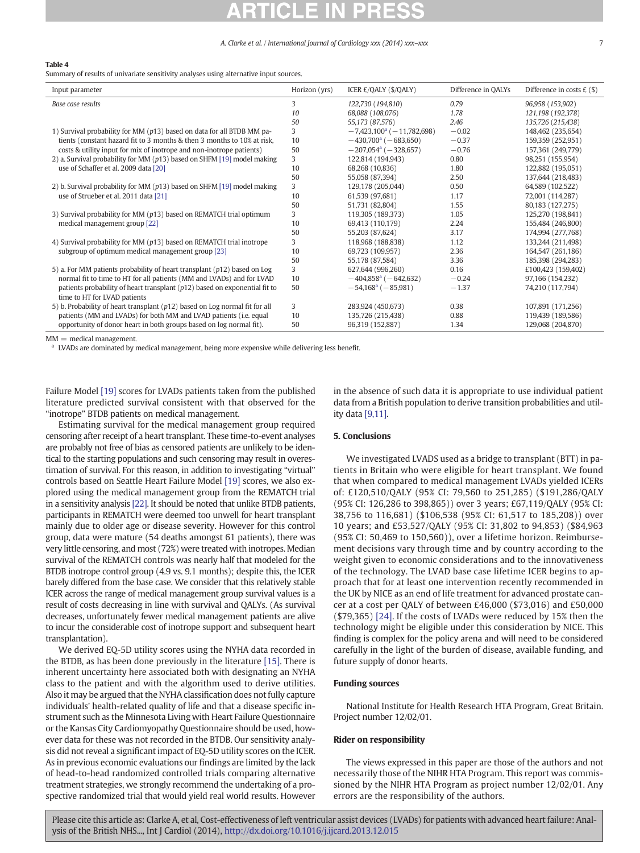### Table 4

Summary of results of univariate sensitivity analyses using alternative input sources.

| Input parameter                                                                                              | Horizon (yrs) | ICER £/OALY (\$/OALY)                  | Difference in QALYs | Difference in costs $E($ \$) |
|--------------------------------------------------------------------------------------------------------------|---------------|----------------------------------------|---------------------|------------------------------|
| Base case results                                                                                            | 3             | 122,730 (194,810)                      | 0.79                | 96,958 (153,902)             |
|                                                                                                              | 10            | 68,088 (108,076)                       | 1.78                | 121,198 (192,378)            |
|                                                                                                              | 50            | 55,173 (87,576)                        | 2.46                | 135,726 (215,438)            |
| 1) Survival probability for MM (p13) based on data for all BTDB MM pa-                                       | 3             | $-7,423,100a$ ( $-11,782,698$ )        | $-0.02$             | 148,462 (235,654)            |
| tients (constant hazard fit to 3 months & then 3 months to 10% at risk,                                      | 10            | $-430,700^{\circ}$ ( $-683,650$ )      | $-0.37$             | 159,359 (252,951)            |
| costs & utility input for mix of inotrope and non-inotrope patients)                                         | 50            | $-207,054$ <sup>a</sup> ( $-328,657$ ) | $-0.76$             | 157,361 (249,779)            |
| 2) a. Survival probability for MM $(p13)$ based on SHFM [19] model making                                    | 3             | 122,814 (194,943)                      | 0.80                | 98,251 (155,954)             |
| use of Schaffer et al. 2009 data [20]                                                                        | 10            | 68,268 (10,836)                        | 1.80                | 122,882 (195,051)            |
|                                                                                                              | 50            | 55,058 (87,394)                        | 2.50                | 137,644 (218,483)            |
| 2) b. Survival probability for MM $(p13)$ based on SHFM [19] model making                                    | 3             | 129,178 (205,044)                      | 0.50                | 64,589 (102,522)             |
| use of Strueber et al. 2011 data [21]                                                                        | 10            | 61,539 (97,681)                        | 1.17                | 72,001 (114,287)             |
|                                                                                                              | 50            | 51,731 (82,804)                        | 1.55                | 80,183 (127,275)             |
| 3) Survival probability for MM (p13) based on REMATCH trial optimum                                          | 3             | 119,305 (189,373)                      | 1.05                | 125,270 (198,841)            |
| medical management group [22]                                                                                | 10            | 69,413 (110,179)                       | 2.24                | 155,484 (246,800)            |
|                                                                                                              | 50            | 55,203 (87,624)                        | 3.17                | 174,994 (277,768)            |
| 4) Survival probability for MM (p13) based on REMATCH trial inotrope                                         | 3             | 118,968 (188,838)                      | 1.12                | 133,244 (211,498)            |
| subgroup of optimum medical management group [23]                                                            | 10            | 69,723 (109,957)                       | 2.36                | 164,547 (261,186)            |
|                                                                                                              | 50            | 55,178 (87,584)                        | 3.36                | 185,398 (294,283)            |
| 5) a. For MM patients probability of heart transplant (p12) based on Log                                     | 3             | 627,644 (996,260)                      | 0.16                | £100,423 (159,402)           |
| normal fit to time to HT for all patients (MM and LVADs) and for LVAD                                        | 10            | $-404,858$ <sup>a</sup> ( $-642,632$ ) | $-0.24$             | 97,166 (154,232)             |
| patients probability of heart transplant $(p12)$ based on exponential fit to<br>time to HT for LVAD patients | 50            | $-54,168^{\circ}$ ( $-85,981$ )        | $-1.37$             | 74,210 (117,794)             |
| 5) b. Probability of heart transplant $(p12)$ based on Log normal fit for all                                | 3             | 283,924 (450,673)                      | 0.38                | 107,891 (171,256)            |
| patients (MM and LVADs) for both MM and LVAD patients (i.e. equal                                            | 10            | 135,726 (215,438)                      | 0.88                | 119,439 (189,586)            |
| opportunity of donor heart in both groups based on log normal fit).                                          | 50            | 96,319 (152,887)                       | 1.34                | 129,068 (204,870)            |

 $MM =$  medical management.

<sup>a</sup> LVADs are dominated by medical management, being more expensive while delivering less benefit.

Failure Model [19] scores for LVADs patients taken from the published literature predicted survival consistent with that observed for the "inotrope" BTDB patients on medical management.

Estimating survival for the medical management group required censoring after receipt of a heart transplant. These time-to-event analyses are probably not free of bias as censored patients are unlikely to be identical to the starting populations and such censoring may result in overestimation of survival. For this reason, in addition to investigating "virtual" controls based on Seattle Heart Failure Model [19] scores, we also explored using the medical management group from the REMATCH trial in a sensitivity analysis [22]. It should be noted that unlike BTDB patients, participants in REMATCH were deemed too unwell for heart transplant mainly due to older age or disease severity. However for this control group, data were mature (54 deaths amongst 61 patients), there was very little censoring, and most (72%) were treated with inotropes. Median survival of the REMATCH controls was nearly half that modeled for the BTDB inotrope control group (4.9 vs. 9.1 months); despite this, the ICER barely differed from the base case. We consider that this relatively stable ICER across the range of medical management group survival values is a result of costs decreasing in line with survival and QALYs. (As survival decreases, unfortunately fewer medical management patients are alive to incur the considerable cost of inotrope support and subsequent heart transplantation).

We derived EQ-5D utility scores using the NYHA data recorded in the BTDB, as has been done previously in the literature [15]. There is inherent uncertainty here associated both with designating an NYHA class to the patient and with the algorithm used to derive utilities. Also it may be argued that the NYHA classification does not fully capture individuals' health-related quality of life and that a disease specific instrument such as the Minnesota Living with Heart Failure Questionnaire or the Kansas City Cardiomyopathy Questionnaire should be used, however data for these was not recorded in the BTDB. Our sensitivity analysis did not reveal a significant impact of EQ-5D utility scores on the ICER. As in previous economic evaluations our findings are limited by the lack of head-to-head randomized controlled trials comparing alternative treatment strategies, we strongly recommend the undertaking of a prospective randomized trial that would yield real world results. However in the absence of such data it is appropriate to use individual patient data from a British population to derive transition probabilities and utility data [\[9,11\].](#page-8-0)

## 5. Conclusions

We investigated LVADS used as a bridge to transplant (BTT) in patients in Britain who were eligible for heart transplant. We found that when compared to medical management LVADs yielded ICERs of: £120,510/QALY (95% CI: 79,560 to 251,285) (\$191,286/QALY (95% CI: 126,286 to 398,865)) over 3 years; £67,119/QALY (95% CI: 38,756 to 116,681) (\$106,538 (95% CI: 61,517 to 185,208)) over 10 years; and £53,527/QALY (95% CI: 31,802 to 94,853) (\$84,963 (95% CI: 50,469 to 150,560)), over a lifetime horizon. Reimbursement decisions vary through time and by country according to the weight given to economic considerations and to the innovativeness of the technology. The LVAD base case lifetime ICER begins to approach that for at least one intervention recently recommended in the UK by NICE as an end of life treatment for advanced prostate cancer at a cost per QALY of between £46,000 (\$73,016) and £50,000 (\$79,365) [24]. If the costs of LVADs were reduced by 15% then the technology might be eligible under this consideration by NICE. This finding is complex for the policy arena and will need to be considered carefully in the light of the burden of disease, available funding, and future supply of donor hearts.

## Funding sources

National Institute for Health Research HTA Program, Great Britain. Project number 12/02/01.

# Rider on responsibility

The views expressed in this paper are those of the authors and not necessarily those of the NIHR HTA Program. This report was commissioned by the NIHR HTA Program as project number 12/02/01. Any errors are the responsibility of the authors.